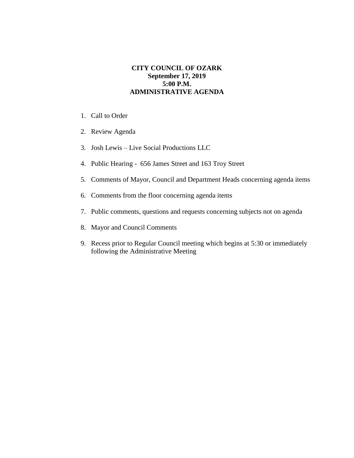## **CITY COUNCIL OF OZARK September 17, 2019 5:00 P.M. ADMINISTRATIVE AGENDA**

- 1. Call to Order
- 2. Review Agenda
- 3. Josh Lewis Live Social Productions LLC
- 4. Public Hearing 656 James Street and 163 Troy Street
- 5. Comments of Mayor, Council and Department Heads concerning agenda items
- 6. Comments from the floor concerning agenda items
- 7. Public comments, questions and requests concerning subjects not on agenda
- 8. Mayor and Council Comments
- 9. Recess prior to Regular Council meeting which begins at 5:30 or immediately following the Administrative Meeting